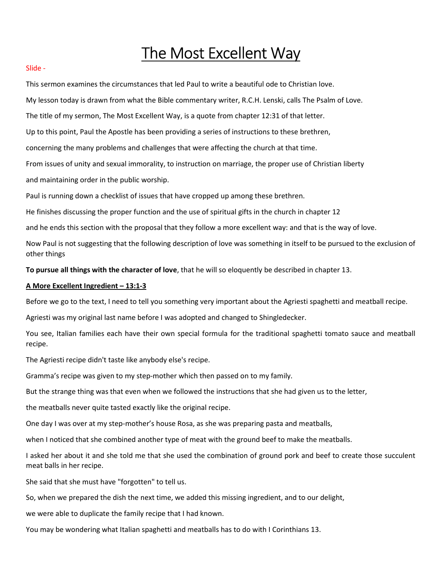# The Most Excellent Way

#### Slide -

This sermon examines the circumstances that led Paul to write a beautiful ode to Christian love.

My lesson today is drawn from what the Bible commentary writer, R.C.H. Lenski, calls The Psalm of Love.

The title of my sermon, The Most Excellent Way, is a quote from chapter 12:31 of that letter.

Up to this point, Paul the Apostle has been providing a series of instructions to these brethren,

concerning the many problems and challenges that were affecting the church at that time.

From issues of unity and sexual immorality, to instruction on marriage, the proper use of Christian liberty

and maintaining order in the public worship.

Paul is running down a checklist of issues that have cropped up among these brethren.

He finishes discussing the proper function and the use of spiritual gifts in the church in chapter 12

and he ends this section with the proposal that they follow a more excellent way: and that is the way of love.

Now Paul is not suggesting that the following description of love was something in itself to be pursued to the exclusion of other things

To pursue all things with the character of love, that he will so eloquently be described in chapter 13.

### A More Excellent Ingredient – 13:1-3

Before we go to the text, I need to tell you something very important about the Agriesti spaghetti and meatball recipe.

Agriesti was my original last name before I was adopted and changed to Shingledecker.

You see, Italian families each have their own special formula for the traditional spaghetti tomato sauce and meatball recipe.

The Agriesti recipe didn't taste like anybody else's recipe.

Gramma's recipe was given to my step-mother which then passed on to my family.

But the strange thing was that even when we followed the instructions that she had given us to the letter,

the meatballs never quite tasted exactly like the original recipe.

One day I was over at my step-mother's house Rosa, as she was preparing pasta and meatballs,

when I noticed that she combined another type of meat with the ground beef to make the meatballs.

I asked her about it and she told me that she used the combination of ground pork and beef to create those succulent meat balls in her recipe.

She said that she must have "forgotten" to tell us.

So, when we prepared the dish the next time, we added this missing ingredient, and to our delight,

we were able to duplicate the family recipe that I had known.

You may be wondering what Italian spaghetti and meatballs has to do with I Corinthians 13.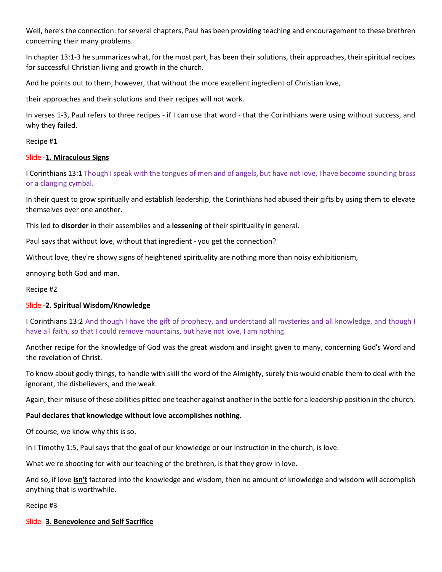Well, here's the connection: for several chapters, Paul has been providing teaching and encouragement to these brethren concerning their many problems.

In chapter 13:1-3 he summarizes what, for the most part, has been their solutions, their approaches, their spiritual recipes for successful Christian living and growth in the church.

And he points out to them, however, that without the more excellent ingredient of Christian love,

their approaches and their solutions and their recipes will not work.

In verses 1-3, Paul refers to three recipes - if I can use that word - that the Corinthians were using without success, and why they failed.

Recipe #1

# Slide -1. Miraculous Signs

I Corinthians 13:1 Though I speak with the tongues of men and of angels, but have not love, I have become sounding brass or a clanging cymbal.

In their quest to grow spiritually and establish leadership, the Corinthians had abused their gifts by using them to elevate themselves over one another.

This led to disorder in their assemblies and a lessening of their spirituality in general.

Paul says that without love, without that ingredient - you get the connection?

Without love, they're showy signs of heightened spirituality are nothing more than noisy exhibitionism,

annoying both God and man.

## Recipe #2

# Slide -2. Spiritual Wisdom/Knowledge

I Corinthians 13:2 And though I have the gift of prophecy, and understand all mysteries and all knowledge, and though I have all faith, so that I could remove mountains, but have not love, I am nothing.

Another recipe for the knowledge of God was the great wisdom and insight given to many, concerning God's Word and the revelation of Christ.

To know about godly things, to handle with skill the word of the Almighty, surely this would enable them to deal with the ignorant, the disbelievers, and the weak.

Again, their misuse of these abilities pitted one teacher against another in the battle for a leadership position in the church.

## Paul declares that knowledge without love accomplishes nothing.

Of course, we know why this is so.

In I Timothy 1:5, Paul says that the goal of our knowledge or our instruction in the church, is love.

What we're shooting for with our teaching of the brethren, is that they grow in love.

And so, if love **isn't** factored into the knowledge and wisdom, then no amount of knowledge and wisdom will accomplish anything that is worthwhile.

Recipe #3

## Slide -3. Benevolence and Self Sacrifice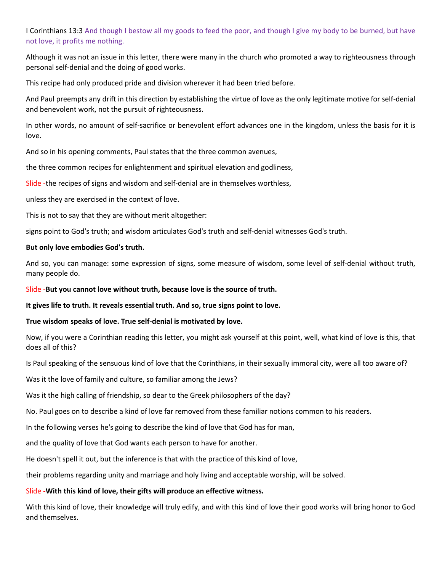# I Corinthians 13:3 And though I bestow all my goods to feed the poor, and though I give my body to be burned, but have not love, it profits me nothing.

Although it was not an issue in this letter, there were many in the church who promoted a way to righteousness through personal self-denial and the doing of good works.

This recipe had only produced pride and division wherever it had been tried before.

And Paul preempts any drift in this direction by establishing the virtue of love as the only legitimate motive for self-denial and benevolent work, not the pursuit of righteousness.

In other words, no amount of self-sacrifice or benevolent effort advances one in the kingdom, unless the basis for it is love.

And so in his opening comments, Paul states that the three common avenues,

the three common recipes for enlightenment and spiritual elevation and godliness,

Slide -the recipes of signs and wisdom and self-denial are in themselves worthless,

unless they are exercised in the context of love.

This is not to say that they are without merit altogether:

signs point to God's truth; and wisdom articulates God's truth and self-denial witnesses God's truth.

# But only love embodies God's truth.

And so, you can manage: some expression of signs, some measure of wisdom, some level of self-denial without truth, many people do.

Slide -But you cannot love without truth, because love is the source of truth.

It gives life to truth. It reveals essential truth. And so, true signs point to love.

# True wisdom speaks of love. True self-denial is motivated by love.

Now, if you were a Corinthian reading this letter, you might ask yourself at this point, well, what kind of love is this, that does all of this?

Is Paul speaking of the sensuous kind of love that the Corinthians, in their sexually immoral city, were all too aware of?

Was it the love of family and culture, so familiar among the Jews?

Was it the high calling of friendship, so dear to the Greek philosophers of the day?

No. Paul goes on to describe a kind of love far removed from these familiar notions common to his readers.

In the following verses he's going to describe the kind of love that God has for man,

and the quality of love that God wants each person to have for another.

He doesn't spell it out, but the inference is that with the practice of this kind of love,

their problems regarding unity and marriage and holy living and acceptable worship, will be solved.

# Slide -With this kind of love, their gifts will produce an effective witness.

With this kind of love, their knowledge will truly edify, and with this kind of love their good works will bring honor to God and themselves.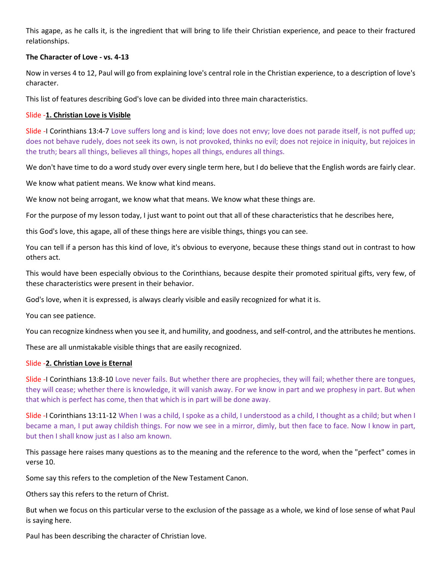This agape, as he calls it, is the ingredient that will bring to life their Christian experience, and peace to their fractured relationships.

## The Character of Love - vs. 4-13

Now in verses 4 to 12, Paul will go from explaining love's central role in the Christian experience, to a description of love's character.

This list of features describing God's love can be divided into three main characteristics.

# Slide -1. Christian Love is Visible

Slide -I Corinthians 13:4-7 Love suffers long and is kind; love does not envy; love does not parade itself, is not puffed up; does not behave rudely, does not seek its own, is not provoked, thinks no evil; does not rejoice in iniquity, but rejoices in the truth; bears all things, believes all things, hopes all things, endures all things.

We don't have time to do a word study over every single term here, but I do believe that the English words are fairly clear.

We know what patient means. We know what kind means.

We know not being arrogant, we know what that means. We know what these things are.

For the purpose of my lesson today, I just want to point out that all of these characteristics that he describes here,

this God's love, this agape, all of these things here are visible things, things you can see.

You can tell if a person has this kind of love, it's obvious to everyone, because these things stand out in contrast to how others act.

This would have been especially obvious to the Corinthians, because despite their promoted spiritual gifts, very few, of these characteristics were present in their behavior.

God's love, when it is expressed, is always clearly visible and easily recognized for what it is.

You can see patience.

You can recognize kindness when you see it, and humility, and goodness, and self-control, and the attributes he mentions.

These are all unmistakable visible things that are easily recognized.

## Slide -2. Christian Love is Eternal

Slide -I Corinthians 13:8-10 Love never fails. But whether there are prophecies, they will fail; whether there are tongues, they will cease; whether there is knowledge, it will vanish away. For we know in part and we prophesy in part. But when that which is perfect has come, then that which is in part will be done away.

Slide -I Corinthians 13:11-12 When I was a child, I spoke as a child, I understood as a child, I thought as a child; but when I became a man, I put away childish things. For now we see in a mirror, dimly, but then face to face. Now I know in part, but then I shall know just as I also am known.

This passage here raises many questions as to the meaning and the reference to the word, when the "perfect" comes in verse 10.

Some say this refers to the completion of the New Testament Canon.

Others say this refers to the return of Christ.

But when we focus on this particular verse to the exclusion of the passage as a whole, we kind of lose sense of what Paul is saying here.

Paul has been describing the character of Christian love.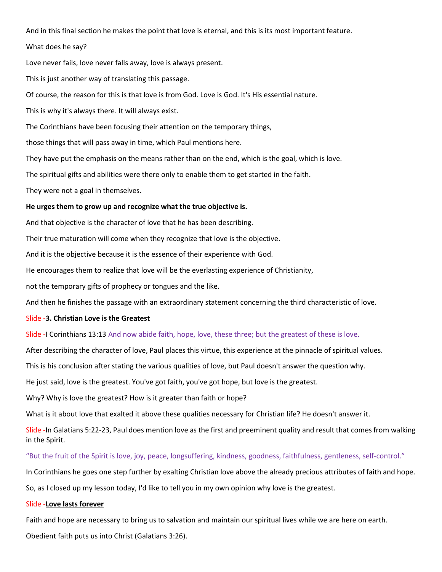And in this final section he makes the point that love is eternal, and this is its most important feature.

What does he say?

Love never fails, love never falls away, love is always present.

This is just another way of translating this passage.

Of course, the reason for this is that love is from God. Love is God. It's His essential nature.

This is why it's always there. It will always exist.

The Corinthians have been focusing their attention on the temporary things,

those things that will pass away in time, which Paul mentions here.

They have put the emphasis on the means rather than on the end, which is the goal, which is love.

The spiritual gifts and abilities were there only to enable them to get started in the faith.

They were not a goal in themselves.

#### He urges them to grow up and recognize what the true objective is.

And that objective is the character of love that he has been describing.

Their true maturation will come when they recognize that love is the objective.

And it is the objective because it is the essence of their experience with God.

He encourages them to realize that love will be the everlasting experience of Christianity,

not the temporary gifts of prophecy or tongues and the like.

And then he finishes the passage with an extraordinary statement concerning the third characteristic of love.

#### Slide -3. Christian Love is the Greatest

#### Slide -I Corinthians 13:13 And now abide faith, hope, love, these three; but the greatest of these is love.

After describing the character of love, Paul places this virtue, this experience at the pinnacle of spiritual values.

This is his conclusion after stating the various qualities of love, but Paul doesn't answer the question why.

He just said, love is the greatest. You've got faith, you've got hope, but love is the greatest.

Why? Why is love the greatest? How is it greater than faith or hope?

What is it about love that exalted it above these qualities necessary for Christian life? He doesn't answer it.

Slide -In Galatians 5:22-23, Paul does mention love as the first and preeminent quality and result that comes from walking in the Spirit.

"But the fruit of the Spirit is love, joy, peace, longsuffering, kindness, goodness, faithfulness, gentleness, self-control."

In Corinthians he goes one step further by exalting Christian love above the already precious attributes of faith and hope.

So, as I closed up my lesson today, I'd like to tell you in my own opinion why love is the greatest.

#### Slide -Love lasts forever

Faith and hope are necessary to bring us to salvation and maintain our spiritual lives while we are here on earth. Obedient faith puts us into Christ (Galatians 3:26).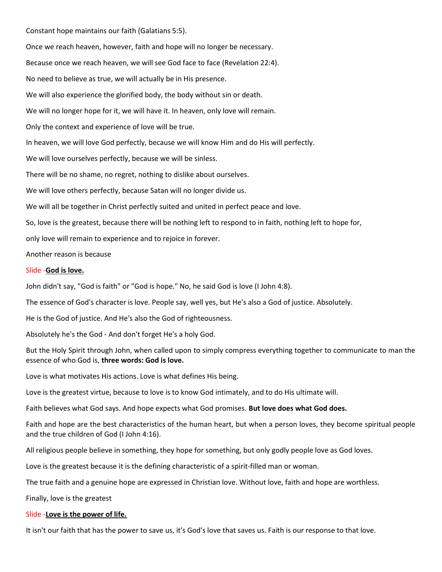Constant hope maintains our faith (Galatians 5:5). Once we reach heaven, however, faith and hope will no longer be necessary. Because once we reach heaven, we will see God face to face (Revelation 22:4). No need to believe as true, we will actually be in His presence. We will also experience the glorified body, the body without sin or death. We will no longer hope for it, we will have it. In heaven, only love will remain. Only the context and experience of love will be true. In heaven, we will love God perfectly, because we will know Him and do His will perfectly. We will love ourselves perfectly, because we will be sinless. There will be no shame, no regret, nothing to dislike about ourselves. We will love others perfectly, because Satan will no longer divide us. We will all be together in Christ perfectly suited and united in perfect peace and love. So, love is the greatest, because there will be nothing left to respond to in faith, nothing left to hope for, only love will remain to experience and to rejoice in forever. Another reason is because Slide -God is love.

John didn't say, "God is faith" or "God is hope." No, he said God is love (I John 4:8).

The essence of God's character is love. People say, well yes, but He's also a God of justice. Absolutely.

He is the God of justice. And He's also the God of righteousness.

Absolutely he's the God - And don't forget He's a holy God.

But the Holy Spirit through John, when called upon to simply compress everything together to communicate to man the essence of who God is, three words: God is love.

Love is what motivates His actions. Love is what defines His being.

Love is the greatest virtue, because to love is to know God intimately, and to do His ultimate will.

Faith believes what God says. And hope expects what God promises. But love does what God does.

Faith and hope are the best characteristics of the human heart, but when a person loves, they become spiritual people and the true children of God (I John 4:16).

All religious people believe in something, they hope for something, but only godly people love as God loves.

Love is the greatest because it is the defining characteristic of a spirit-filled man or woman.

The true faith and a genuine hope are expressed in Christian love. Without love, faith and hope are worthless.

Finally, love is the greatest

#### Slide -Love is the power of life.

It isn't our faith that has the power to save us, it's God's love that saves us. Faith is our response to that love.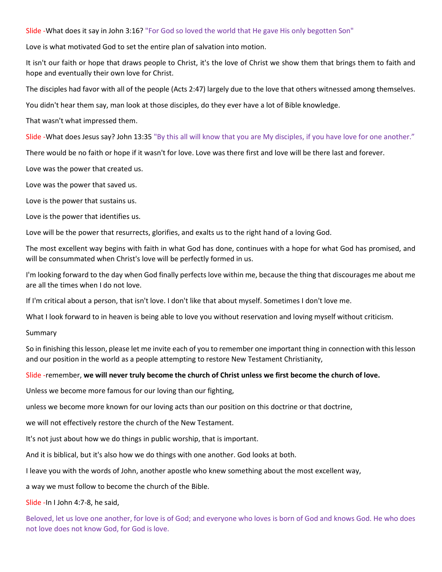Slide -What does it say in John 3:16? "For God so loved the world that He gave His only begotten Son"

Love is what motivated God to set the entire plan of salvation into motion.

It isn't our faith or hope that draws people to Christ, it's the love of Christ we show them that brings them to faith and hope and eventually their own love for Christ.

The disciples had favor with all of the people (Acts 2:47) largely due to the love that others witnessed among themselves.

You didn't hear them say, man look at those disciples, do they ever have a lot of Bible knowledge.

That wasn't what impressed them.

Slide -What does Jesus say? John 13:35 "By this all will know that you are My disciples, if you have love for one another."

There would be no faith or hope if it wasn't for love. Love was there first and love will be there last and forever.

Love was the power that created us.

Love was the power that saved us.

Love is the power that sustains us.

Love is the power that identifies us.

Love will be the power that resurrects, glorifies, and exalts us to the right hand of a loving God.

The most excellent way begins with faith in what God has done, continues with a hope for what God has promised, and will be consummated when Christ's love will be perfectly formed in us.

I'm looking forward to the day when God finally perfects love within me, because the thing that discourages me about me are all the times when I do not love.

If I'm critical about a person, that isn't love. I don't like that about myself. Sometimes I don't love me.

What I look forward to in heaven is being able to love you without reservation and loving myself without criticism.

Summary

So in finishing this lesson, please let me invite each of you to remember one important thing in connection with this lesson and our position in the world as a people attempting to restore New Testament Christianity,

#### Slide -remember, we will never truly become the church of Christ unless we first become the church of love.

Unless we become more famous for our loving than our fighting,

unless we become more known for our loving acts than our position on this doctrine or that doctrine,

we will not effectively restore the church of the New Testament.

It's not just about how we do things in public worship, that is important.

And it is biblical, but it's also how we do things with one another. God looks at both.

I leave you with the words of John, another apostle who knew something about the most excellent way,

a way we must follow to become the church of the Bible.

Slide -In I John 4:7-8, he said,

Beloved, let us love one another, for love is of God; and everyone who loves is born of God and knows God. He who does not love does not know God, for God is love.